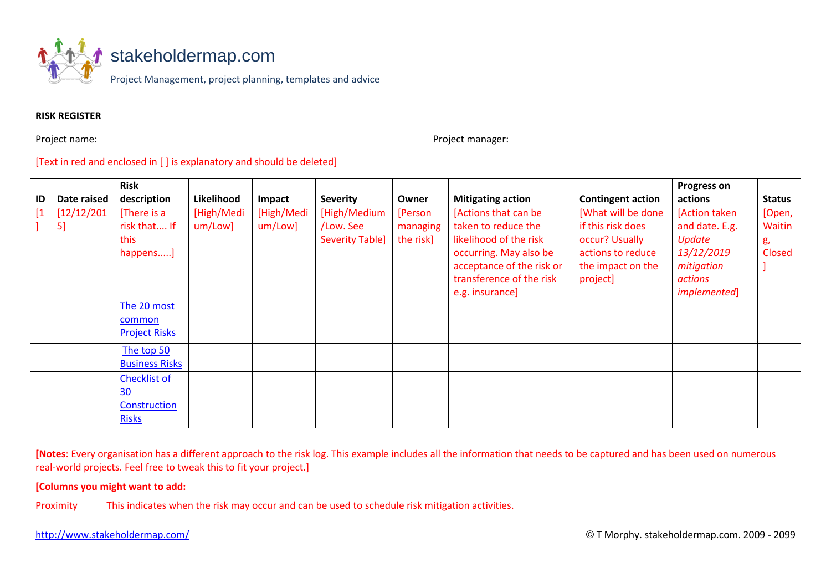

# **RISK REGISTER**

Project name: **Project manager:** Project manager:

# [Text in red and enclosed in [ ] is explanatory and should be deleted]

|    |             | <b>Risk</b>           |            |            |                        |           |                           |                          | <b>Progress on</b>   |               |
|----|-------------|-----------------------|------------|------------|------------------------|-----------|---------------------------|--------------------------|----------------------|---------------|
| ID | Date raised | description           | Likelihood | Impact     | <b>Severity</b>        | Owner     | <b>Mitigating action</b>  | <b>Contingent action</b> | actions              | <b>Status</b> |
|    | [12/12/201] | [There is a           | [High/Medi | [High/Medi | [High/Medium           | [Person   | [Actions that can be      | [What will be done       | [Action taken]       | [Open,        |
|    | 5]          | risk that If          | um/Low]    | um/Low]    | /Low. See              | managing  | taken to reduce the       | if this risk does        | and date. E.g.       | Waitin        |
|    |             | this                  |            |            | <b>Severity Table]</b> | the risk] | likelihood of the risk    | occur? Usually           | Update               | g,            |
|    |             | happens]              |            |            |                        |           | occurring. May also be    | actions to reduce        | 13/12/2019           | Closed        |
|    |             |                       |            |            |                        |           | acceptance of the risk or | the impact on the        | mitigation           |               |
|    |             |                       |            |            |                        |           | transference of the risk  | project]                 | actions              |               |
|    |             |                       |            |            |                        |           | e.g. insurance]           |                          | <i>implemented</i> ] |               |
|    |             | The 20 most           |            |            |                        |           |                           |                          |                      |               |
|    |             | common                |            |            |                        |           |                           |                          |                      |               |
|    |             | <b>Project Risks</b>  |            |            |                        |           |                           |                          |                      |               |
|    |             | The top 50            |            |            |                        |           |                           |                          |                      |               |
|    |             | <b>Business Risks</b> |            |            |                        |           |                           |                          |                      |               |
|    |             | <b>Checklist of</b>   |            |            |                        |           |                           |                          |                      |               |
|    |             | 30                    |            |            |                        |           |                           |                          |                      |               |
|    |             | Construction          |            |            |                        |           |                           |                          |                      |               |
|    |             | <b>Risks</b>          |            |            |                        |           |                           |                          |                      |               |

**[Notes**: Every organisation has a different approach to the risk log. This example includes all the information that needs to be captured and has been used on numerous real-world projects. Feel free to tweak this to fit your project.]

## **[Columns you might want to add:**

Proximity This indicates when the risk may occur and can be used to schedule risk mitigation activities.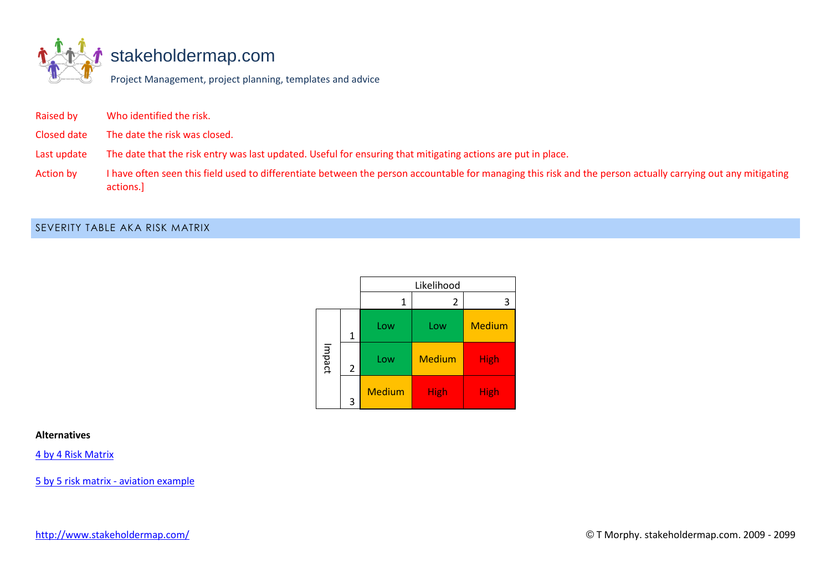

# [stakeholdermap.com](http://www.stakeholdermap.com/project-templates/project-management-templates.html)

Project Management, project planning, templates and advice

| Who identified the risk.<br><b>Raised by</b> |  |
|----------------------------------------------|--|
|----------------------------------------------|--|

Closed date The date the risk was closed.

Last update The date that the risk entry was last updated. Useful for ensuring that mitigating actions are put in place.

Action by I have often seen this field used to differentiate between the person accountable for managing this risk and the person actually carrying out any mitigating actions.]

# SEVERITY TABLE AKA RISK MATRIX

|        |                | Likelihood    |               |               |  |  |
|--------|----------------|---------------|---------------|---------------|--|--|
|        |                | 1             | 2             | 3             |  |  |
|        | 1              | Low           | Low           | <b>Medium</b> |  |  |
| Impact | $\overline{2}$ | Low           | <b>Medium</b> | <b>High</b>   |  |  |
|        | 3              | <b>Medium</b> | <b>High</b>   | <b>High</b>   |  |  |

### **Alternatives**

[4 by 4 Risk Matrix](https://www.stakeholdermap.com/risk/risk-matrix-4x4.html)

[5 by 5 risk matrix -](https://www.stakeholdermap.com/risk/risk-matrix-aviation-safety-example.html) aviation example